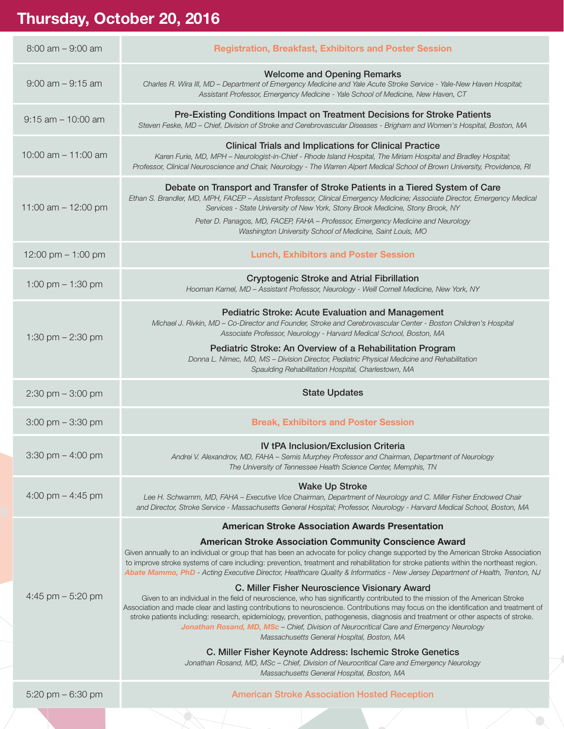## **Thursday, October 20, 2016**

| $8:00$ am $-9:00$ am                | <b>Registration, Breakfast, Exhibitors and Poster Session</b>                                                                                                                                                                                                                                                                                                                                                                                                                                                                                                                                                                                                                                                                                                                                                                                                                                                                                                                                                                                                                                                                                                                                                                                                                                                                                          |  |  |
|-------------------------------------|--------------------------------------------------------------------------------------------------------------------------------------------------------------------------------------------------------------------------------------------------------------------------------------------------------------------------------------------------------------------------------------------------------------------------------------------------------------------------------------------------------------------------------------------------------------------------------------------------------------------------------------------------------------------------------------------------------------------------------------------------------------------------------------------------------------------------------------------------------------------------------------------------------------------------------------------------------------------------------------------------------------------------------------------------------------------------------------------------------------------------------------------------------------------------------------------------------------------------------------------------------------------------------------------------------------------------------------------------------|--|--|
| $9:00$ am $-9:15$ am                | <b>Welcome and Opening Remarks</b><br>Charles R. Wira III, MD - Department of Emergency Medicine and Yale Acute Stroke Service - Yale-New Haven Hospital;<br>Assistant Professor, Emergency Medicine - Yale School of Medicine, New Haven, CT                                                                                                                                                                                                                                                                                                                                                                                                                                                                                                                                                                                                                                                                                                                                                                                                                                                                                                                                                                                                                                                                                                          |  |  |
| $9:15$ am $-10:00$ am               | Pre-Existing Conditions Impact on Treatment Decisions for Stroke Patients<br>Steven Feske, MD - Chief, Division of Stroke and Cerebrovascular Diseases - Brigham and Women's Hospital, Boston, MA                                                                                                                                                                                                                                                                                                                                                                                                                                                                                                                                                                                                                                                                                                                                                                                                                                                                                                                                                                                                                                                                                                                                                      |  |  |
| 10:00 am $-11:00$ am                | <b>Clinical Trials and Implications for Clinical Practice</b><br>Karen Furie, MD, MPH - Neurologist-in-Chief - Rhode Island Hospital, The Miriam Hospital and Bradley Hospital;<br>Professor, Clinical Neuroscience and Chair, Neurology - The Warren Alpert Medical School of Brown University, Providence, RI                                                                                                                                                                                                                                                                                                                                                                                                                                                                                                                                                                                                                                                                                                                                                                                                                                                                                                                                                                                                                                        |  |  |
| 11:00 am $-$ 12:00 pm               | Debate on Transport and Transfer of Stroke Patients in a Tiered System of Care<br>Ethan S. Brandler, MD, MPH, FACEP - Assistant Professor, Clinical Emergency Medicine; Associate Director, Emergency Medical<br>Services - State University of New York, Stony Brook Medicine, Stony Brook, NY<br>Peter D. Panagos, MD, FACEP, FAHA - Professor, Emergency Medicine and Neurology<br>Washington University School of Medicine, Saint Louis, MO                                                                                                                                                                                                                                                                                                                                                                                                                                                                                                                                                                                                                                                                                                                                                                                                                                                                                                        |  |  |
| 12:00 pm $-$ 1:00 pm                | <b>Lunch, Exhibitors and Poster Session</b>                                                                                                                                                                                                                                                                                                                                                                                                                                                                                                                                                                                                                                                                                                                                                                                                                                                                                                                                                                                                                                                                                                                                                                                                                                                                                                            |  |  |
| 1:00 pm $-$ 1:30 pm                 | <b>Cryptogenic Stroke and Atrial Fibrillation</b><br>Hooman Kamel, MD - Assistant Professor, Neurology - Weill Cornell Medicine, New York, NY                                                                                                                                                                                                                                                                                                                                                                                                                                                                                                                                                                                                                                                                                                                                                                                                                                                                                                                                                                                                                                                                                                                                                                                                          |  |  |
| 1:30 pm $- 2:30$ pm                 | <b>Pediatric Stroke: Acute Evaluation and Management</b><br>Michael J. Rivkin, MD - Co-Director and Founder, Stroke and Cerebrovascular Center - Boston Children's Hospital<br>Associate Professor, Neurology - Harvard Medical School, Boston, MA<br>Pediatric Stroke: An Overview of a Rehabilitation Program<br>Donna L. Nimec, MD, MS - Division Director, Pediatric Physical Medicine and Rehabilitation<br>Spaulding Rehabilitation Hospital, Charlestown, MA                                                                                                                                                                                                                                                                                                                                                                                                                                                                                                                                                                                                                                                                                                                                                                                                                                                                                    |  |  |
| $2:30 \text{ pm} - 3:00 \text{ pm}$ | <b>State Updates</b>                                                                                                                                                                                                                                                                                                                                                                                                                                                                                                                                                                                                                                                                                                                                                                                                                                                                                                                                                                                                                                                                                                                                                                                                                                                                                                                                   |  |  |
|                                     | <b>Break, Exhibitors and Poster Session</b>                                                                                                                                                                                                                                                                                                                                                                                                                                                                                                                                                                                                                                                                                                                                                                                                                                                                                                                                                                                                                                                                                                                                                                                                                                                                                                            |  |  |
| $3:00 \text{ pm} - 3:30 \text{ pm}$ |                                                                                                                                                                                                                                                                                                                                                                                                                                                                                                                                                                                                                                                                                                                                                                                                                                                                                                                                                                                                                                                                                                                                                                                                                                                                                                                                                        |  |  |
| $3:30$ pm $-4:00$ pm                | <b>IV tPA Inclusion/Exclusion Criteria</b><br>Andrei V. Alexandrov, MD, FAHA - Semis Murphey Professor and Chairman, Department of Neurology<br>The University of Tennessee Health Science Center, Memphis, TN                                                                                                                                                                                                                                                                                                                                                                                                                                                                                                                                                                                                                                                                                                                                                                                                                                                                                                                                                                                                                                                                                                                                         |  |  |
| 4:00 pm $-$ 4:45 pm                 | <b>Wake Up Stroke</b><br>Lee H. Schwamm, MD, FAHA - Executive Vice Chairman, Department of Neurology and C. Miller Fisher Endowed Chair<br>and Director, Stroke Service - Massachusetts General Hospital; Professor, Neurology - Harvard Medical School, Boston, MA                                                                                                                                                                                                                                                                                                                                                                                                                                                                                                                                                                                                                                                                                                                                                                                                                                                                                                                                                                                                                                                                                    |  |  |
| 4:45 pm $-$ 5:20 pm                 | <b>American Stroke Association Awards Presentation</b><br><b>American Stroke Association Community Conscience Award</b><br>Given annually to an individual or group that has been an advocate for policy change supported by the American Stroke Association<br>to improve stroke systems of care including: prevention, treatment and rehabilitation for stroke patients within the northeast region.<br>Abate Mammo, PhD - Acting Executive Director, Healthcare Quality & Informatics - New Jersey Department of Health, Trenton, NJ<br>C. Miller Fisher Neuroscience Visionary Award<br>Given to an individual in the field of neuroscience, who has significantly contributed to the mission of the American Stroke<br>Association and made clear and lasting contributions to neuroscience. Contributions may focus on the identification and treatment of<br>stroke patients including: research, epidemiology, prevention, pathogenesis, diagnosis and treatment or other aspects of stroke.<br>Jonathan Rosand, MD, MSc - Chief, Division of Neurocritical Care and Emergency Neurology<br>Massachusetts General Hospital, Boston, MA<br>C. Miller Fisher Keynote Address: Ischemic Stroke Genetics<br>Jonathan Rosand, MD, MSc - Chief, Division of Neurocritical Care and Emergency Neurology<br>Massachusetts General Hospital, Boston, MA |  |  |